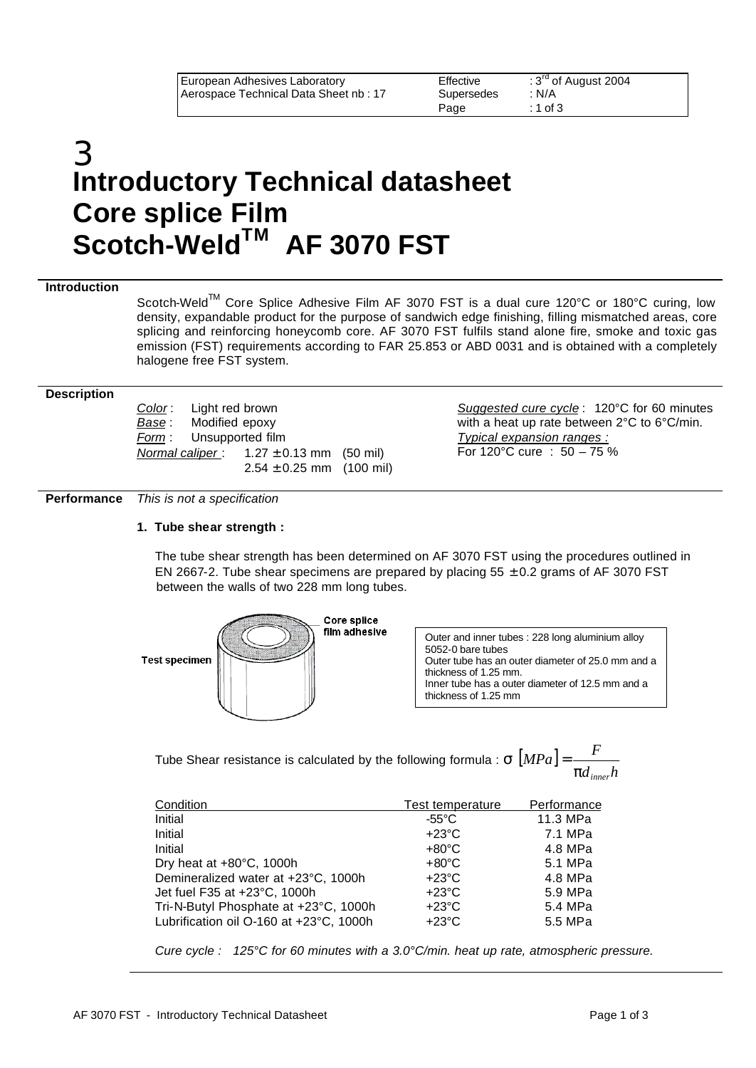# 3 **Introductory Technical datasheet Core splice Film Scotch-WeldTM AF 3070 FST**

### **Introduction**

Scotch-Weld™ Core Splice Adhesive Film AF 3070 FST is a dual cure 120°C or 180°C curing, low density, expandable product for the purpose of sandwich edge finishing, filling mismatched areas, core splicing and reinforcing honeycomb core. AF 3070 FST fulfils stand alone fire, smoke and toxic gas emission (FST) requirements according to FAR 25.853 or ABD 0031 and is obtained with a completely halogene free FST system.

#### **Description**

*Color* : Light red brown *Base* : Modified epoxy *Form* : Unsupported film *Normal caliper* : 1.27 ± 0.13 mm (50 mil)  $2.54 \pm 0.25$  mm (100 mil)

*Suggested cure cycle* : 120°C for 60 minutes with a heat up rate between 2°C to 6°C/min. *Typical expansion ranges :* For 120°C cure : 50 – 75 %

**Performance** *This is not a specification*

## **1. Tube shear strength :**

The tube shear strength has been determined on AF 3070 FST using the procedures outlined in EN 2667-2. Tube shear specimens are prepared by placing  $55 \pm 0.2$  grams of AF 3070 FST between the walls of two 228 mm long tubes.



Outer and inner tubes : 228 long aluminium alloy 5052-0 bare tubes Outer tube has an outer diameter of 25.0 mm and a thickness of 1.25 mm. Inner tube has a outer diameter of 12.5 mm and a thickness of 1.25 mm

Tube Shear resistance is calculated by the following formula :  $\sigma$   $|MPa|$  $d_{\rm \it inner} h$  $[MPa] = \frac{F}{\cdot}$ *p inner* =

| Condition                               | <b>Test temperature</b> | Performance |
|-----------------------------------------|-------------------------|-------------|
| Initial                                 | -55°C                   | 11.3 MPa    |
| Initial                                 | $+23^{\circ}$ C         | 7.1 MPa     |
| Initial                                 | $+80^{\circ}$ C         | 4.8 MPa     |
| Dry heat at +80°C, 1000h                | $+80^{\circ}$ C         | 5.1 MPa     |
| Demineralized water at +23°C, 1000h     | $+23^{\circ}$ C         | 4.8 MPa     |
| Jet fuel F35 at +23°C, 1000h            | $+23^{\circ}$ C         | 5.9 MPa     |
| Tri-N-Butyl Phosphate at +23°C, 1000h   | $+23^{\circ}$ C         | 5.4 MPa     |
| Lubrification oil O-160 at +23°C, 1000h | $+23^{\circ}$ C         | 5.5 MPa     |

*Cure cycle : 125°C for 60 minutes with a 3.0°C/min. heat up rate, atmospheric pressure.*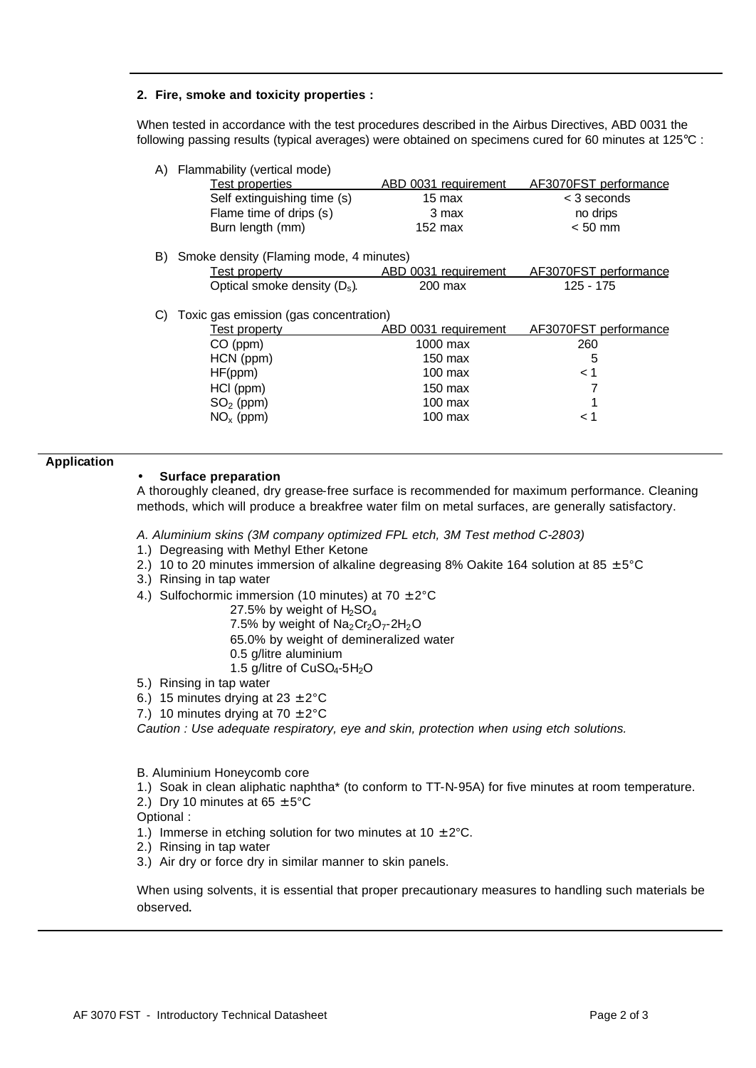#### **2. Fire, smoke and toxicity properties :**

When tested in accordance with the test procedures described in the Airbus Directives, ABD 0031 the following passing results (typical averages) were obtained on specimens cured for 60 minutes at 125°C :

|  |  | A) Flammability (vertical mode) |  |  |
|--|--|---------------------------------|--|--|
|--|--|---------------------------------|--|--|

| Test properties             | ABD 0031 requirement | AF3070FST performance |
|-----------------------------|----------------------|-----------------------|
| Self extinguishing time (s) | 15 max               | $<$ 3 seconds         |
| Flame time of drips (s)     | 3 max                | no drips              |
| Burn length (mm)            | $152 \text{ max}$    | $< 50$ mm             |

B) Smoke density (Flaming mode, 4 minutes)

| Test property                   | ABD 0031 requirement | AF3070FST performance |
|---------------------------------|----------------------|-----------------------|
| Optical smoke density $(D_s)$ . | 200 max              | 125 - 175             |

C) Toxic gas emission (gas concentration)

| $CO$ (ppm)<br>1000 max<br>260<br>HCN (ppm)<br>150 max<br>5 | <u>Test property</u> | ABD 0031 requirement | AF3070FST performance |
|------------------------------------------------------------|----------------------|----------------------|-----------------------|
|                                                            |                      |                      |                       |
|                                                            |                      |                      |                       |
| < 1                                                        | HF(ppm)              | $100$ max            |                       |
| HCI (ppm)<br>$150$ max                                     |                      |                      |                       |
| $SO2$ (ppm)<br>$100$ max                                   |                      |                      |                       |
| $NOx$ (ppm)<br>$100$ max<br>1 >                            |                      |                      |                       |

#### **Application**

#### • **Surface preparation**

A thoroughly cleaned, dry grease-free surface is recommended for maximum performance. Cleaning methods, which will produce a breakfree water film on metal surfaces, are generally satisfactory.

#### *A. Aluminium skins (3M company optimized FPL etch, 3M Test method C-2803)*

- 1.) Degreasing with Methyl Ether Ketone
- 2.) 10 to 20 minutes immersion of alkaline degreasing 8% Oakite 164 solution at 85  $\pm$  5°C
- 3.) Rinsing in tap water
- 4.) Sulfochormic immersion (10 minutes) at 70  $\pm$  2°C

27.5% by weight of  $H<sub>2</sub>SO<sub>4</sub>$ 

7.5% by weight of  $Na<sub>2</sub>Cr<sub>2</sub>O<sub>7</sub>$ -2H<sub>2</sub>O

65.0% by weight of demineralized water

0.5 g/litre aluminium

1.5 g/litre of  $CuSO<sub>4</sub>$ -5H<sub>2</sub>O

- 5.) Rinsing in tap water
- 6.) 15 minutes drying at  $23 \pm 2^{\circ}$ C
- 7.) 10 minutes drying at 70  $\pm$  2°C

*Caution : Use adequate respiratory, eye and skin, protection when using etch solutions.*

B. Aluminium Honeycomb core

- 1.) Soak in clean aliphatic naphtha\* (to conform to TT-N-95A) for five minutes at room temperature.
- 2.) Dry 10 minutes at  $65 \pm 5^{\circ}$ C
- Optional :
- 1.) Immerse in etching solution for two minutes at  $10 \pm 2^{\circ}$ C.
- 2.) Rinsing in tap water
- 3.) Air dry or force dry in similar manner to skin panels.

When using solvents, it is essential that proper precautionary measures to handling such materials be observed.